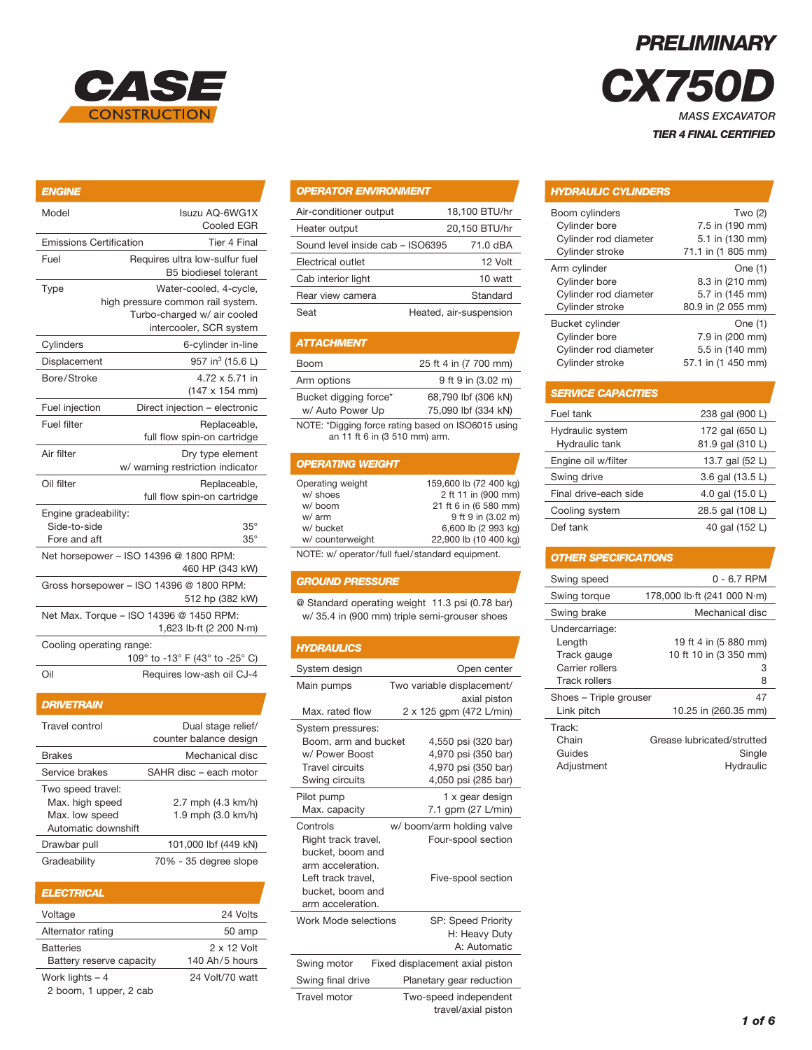

# *ENGINE* Model **Isuzu AQ-6WG1X**  Cooled EGR Emissions Certification Tier 4 Final Fuel Requires ultra low-sulfur fuel B5 biodiesel tolerant Type Water-cooled, 4-cycle, high pressure common rail system. Turbo-charged w/ air cooled intercooler, SCR system Cylinders 6-cylinder in-line Displacement 957 in $3$  (15.6 L) Bore/Stroke 4.72 x 5.71 in (147 x 154 mm) Fuel injection Direct injection – electronic Fuel filter **Replaceable**, full flow spin-on cartridge Air filter **Dry type element**  w/ warning restriction indicator Oil filter **Replaceable**, full flow spin-on cartridge Engine gradeability: Side-to-side 35° Fore and aft 35° Net horsepower – ISO 14396 @ 1800 RPM: 460 HP (343 kW) Gross horsepower – ISO 14396 @ 1800 RPM: 512 hp (382 kW) Net Max. Torque – ISO 14396 @ 1450 RPM: 1,623 lb·ft (2 200 N·m) Cooling operating range: 109° to -13° F (43° to -25° C) Oil Requires low-ash oil CJ-4

| <b>DRIVETRAIN</b>                                                             |                                              |
|-------------------------------------------------------------------------------|----------------------------------------------|
| Travel control                                                                | Dual stage relief/<br>counter balance design |
| <b>Brakes</b>                                                                 | Mechanical disc                              |
| Service brakes                                                                | SAHR disc - each motor                       |
| Two speed travel:<br>Max. high speed<br>Max. low speed<br>Automatic downshift | 2.7 mph (4.3 km/h)<br>1.9 mph (3.0 km/h)     |
| Drawbar pull                                                                  | 101,000 lbf (449 kN)                         |
| Gradeability                                                                  | 70% - 35 degree slope                        |

| <b>ELECTRICAL</b>        |                 |
|--------------------------|-----------------|
| Voltage                  | 24 Volts        |
| Alternator rating        | 50 amp          |
| <b>Batteries</b>         | 2 x 12 Volt     |
| Battery reserve capacity | 140 Ah/5 hours  |
| Work lights $-4$         | 24 Volt/70 watt |
| 2 boom, 1 upper, 2 cab   |                 |

# *OPERATOR ENVIRONMENT*

| Air-conditioner output           | 18.100 BTU/hr          |
|----------------------------------|------------------------|
| Heater output                    | 20,150 BTU/hr          |
| Sound level inside cab - ISO6395 | 71.0 dBA               |
| Electrical outlet                | 12 Volt                |
| Cab interior light               | 10 watt                |
| Rear view camera                 | Standard               |
| Seat                             | Heated, air-suspension |

# *ATTACHMENT*

| <b>Boom</b>                               | 25 ft 4 in (7 700 mm)                      |
|-------------------------------------------|--------------------------------------------|
| Arm options                               | 9 ft 9 in (3.02 m)                         |
| Bucket digging force*<br>w/ Auto Power Up | 68,790 lbf (306 kN)<br>75,090 lbf (334 kN) |
|                                           |                                            |

NOTE: \*Digging force rating based on ISO6015 using an 11 ft 6 in (3 510 mm) arm.

# *OPERATING WEIGHT*

| Operating weight | 159,600 lb (72 400 kg) |
|------------------|------------------------|
| w/ shoes         | 2 ft 11 in (900 mm)    |
| w/ boom          | 21 ft 6 in (6 580 mm)  |
| w/ arm           | 9 ft 9 in (3.02 m)     |
| w/ bucket        | 6,600 lb (2 993 kg)    |
| w/ counterweight | 22,900 lb (10 400 kg)  |

NOTE: w/ operator/full fuel/standard equipment.

# *GROUND PRESSURE*

@ Standard operating weight 11.3 psi (0.78 bar) w/ 35.4 in (900 mm) triple semi-grouser shoes

| <b>HYDRAULICS</b>                                                                                                           |                                                                                          |
|-----------------------------------------------------------------------------------------------------------------------------|------------------------------------------------------------------------------------------|
| System design                                                                                                               | Open center                                                                              |
| Main pumps                                                                                                                  | Two variable displacement/<br>axial piston                                               |
| Max. rated flow                                                                                                             | 2 x 125 gpm (472 L/min)                                                                  |
| System pressures:<br>Boom, arm and bucket<br>w/ Power Boost<br><b>Travel circuits</b><br>Swing circuits                     | 4,550 psi (320 bar)<br>4,970 psi (350 bar)<br>4,970 psi (350 bar)<br>4,050 psi (285 bar) |
| Pilot pump<br>Max. capacity                                                                                                 | 1 x gear design<br>7.1 gpm (27 L/min)                                                    |
| Controls                                                                                                                    | w/ boom/arm holding valve                                                                |
| Right track travel,<br>bucket, boom and<br>arm acceleration.<br>Left track travel,<br>bucket, boom and<br>arm acceleration. | Four-spool section<br>Five-spool section                                                 |
| Work Mode selections                                                                                                        | <b>SP: Speed Priority</b><br>H: Heavy Duty<br>A: Automatic                               |
| Swing motor                                                                                                                 | Fixed displacement axial piston                                                          |
| Swing final drive                                                                                                           | Planetary gear reduction                                                                 |
| Travel motor                                                                                                                | Two-speed independent<br>travel/axial piston                                             |

# *PRELIMINARY*

**CX750** *MASS EXCAVATOR TIER 4 FINAL CERTIFIED*

#### *HYDRAULIC CYLINDERS*

| Boom cylinders         | Two (2)            |
|------------------------|--------------------|
| Cylinder bore          | 7.5 in (190 mm)    |
| Cylinder rod diameter  | 5.1 in (130 mm)    |
| Cylinder stroke        | 71.1 in (1 805 mm) |
| Arm cylinder           | One (1)            |
| Cylinder bore          | 8.3 in (210 mm)    |
| Cylinder rod diameter  | 5.7 in (145 mm)    |
| Cylinder stroke        | 80.9 in (2 055 mm) |
| <b>Bucket cylinder</b> | One (1)            |
| Cylinder bore          | 7.9 in (200 mm)    |
| Cylinder rod diameter  | 5.5 in (140 mm)    |
| Cylinder stroke        | 57.1 in (1 450 mm) |

#### *SERVICE CAPACITIES*

| Fuel tank                          | 238 gal (900 L)                     |
|------------------------------------|-------------------------------------|
| Hydraulic system<br>Hydraulic tank | 172 gal (650 L)<br>81.9 gal (310 L) |
| Engine oil w/filter                | 13.7 gal (52 L)                     |
| Swing drive                        | 3.6 gal (13.5 L)                    |
| Final drive-each side              | 4.0 gal (15.0 L)                    |
| Cooling system                     | 28.5 gal (108 L)                    |
| Def tank                           | 40 gal (152 L)                      |

# *OTHER SPECIFICATIONS*

| Swing speed            | 0 - 6.7 RPM                 |
|------------------------|-----------------------------|
| Swing torque           | 178,000 lb ft (241 000 N·m) |
| Swing brake            | Mechanical disc             |
| Undercarriage:         |                             |
| Length                 | 19 ft 4 in (5 880 mm)       |
| Track gauge            | 10 ft 10 in (3 350 mm)      |
| Carrier rollers        | З                           |
| <b>Track rollers</b>   | 8                           |
| Shoes - Triple grouser | 47                          |
| Link pitch             | 10.25 in (260.35 mm)        |
| Track:                 |                             |
| Chain                  | Grease lubricated/strutted  |
| Guides                 | Single                      |
| Adjustment             | Hydraulic                   |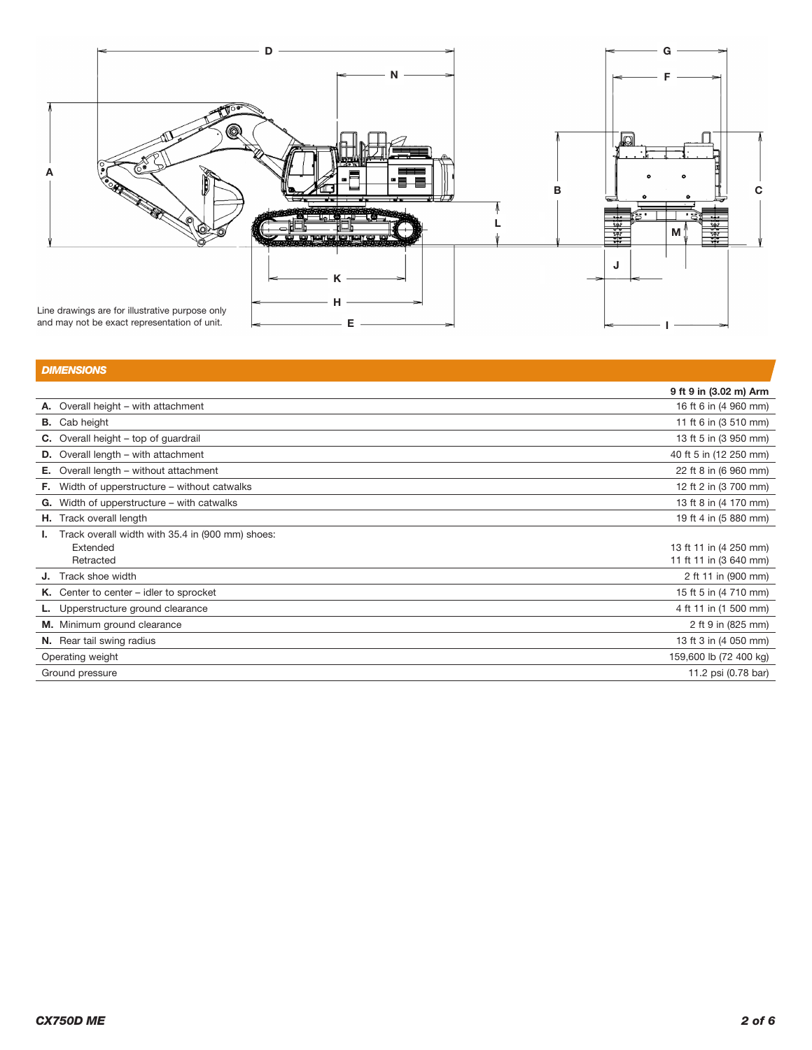

and may not be exact representation of unit.

|    | <b>DIMENSIONS</b>                                |                        |
|----|--------------------------------------------------|------------------------|
|    |                                                  | 9 ft 9 in (3.02 m) Arm |
|    | A. Overall height - with attachment              | 16 ft 6 in (4 960 mm)  |
|    | <b>B.</b> Cab height                             | 11 ft 6 in (3 510 mm)  |
|    | <b>C.</b> Overall height – top of guardrail      | 13 ft 5 in (3 950 mm)  |
|    | <b>D.</b> Overall length – with attachment       | 40 ft 5 in (12 250 mm) |
| Е. | Overall length - without attachment              | 22 ft 8 in (6 960 mm)  |
| F. | Width of upperstructure - without catwalks       | 12 ft 2 in (3 700 mm)  |
| G. | Width of upperstructure – with catwalks          | 13 ft 8 in (4 170 mm)  |
|    | H. Track overall length                          | 19 ft 4 in (5 880 mm)  |
|    | Track overall width with 35.4 in (900 mm) shoes: |                        |
|    | Extended                                         | 13 ft 11 in (4 250 mm) |
|    | Retracted                                        | 11 ft 11 in (3 640 mm) |
|    | <b>J.</b> Track shoe width                       | 2 ft 11 in (900 mm)    |
|    | K. Center to center $-$ idler to sprocket        | 15 ft 5 in (4 710 mm)  |
|    | Upperstructure ground clearance                  | 4 ft 11 in (1 500 mm)  |
|    | M. Minimum ground clearance                      | 2 ft 9 in (825 mm)     |
|    | <b>N.</b> Rear tail swing radius                 | 13 ft 3 in (4 050 mm)  |
|    | Operating weight                                 | 159,600 lb (72 400 kg) |
|    | Ground pressure                                  | 11.2 psi (0.78 bar)    |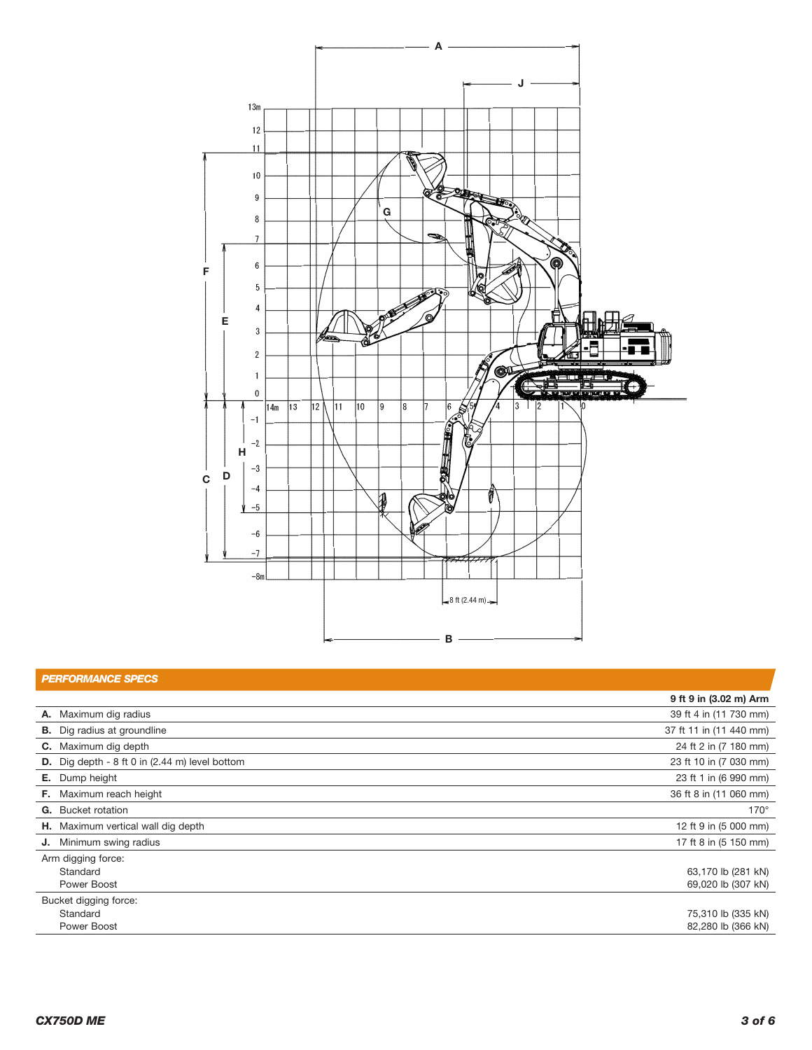

| <b>PERFORMANCE SPECS</b>                                        |                         |
|-----------------------------------------------------------------|-------------------------|
|                                                                 | 9 ft 9 in (3.02 m) Arm  |
| A. Maximum dig radius                                           | 39 ft 4 in (11 730 mm)  |
| <b>B.</b> Dig radius at groundline                              | 37 ft 11 in (11 440 mm) |
| <b>C.</b> Maximum dig depth                                     | 24 ft 2 in (7 180 mm)   |
| <b>D.</b> Dig depth - 8 ft 0 in $(2.44 \text{ m})$ level bottom | 23 ft 10 in (7 030 mm)  |
| <b>E.</b> Dump height                                           | 23 ft 1 in (6 990 mm)   |
| <b>F.</b> Maximum reach height                                  | 36 ft 8 in (11 060 mm)  |
| <b>G.</b> Bucket rotation                                       | $170^\circ$             |
| H. Maximum vertical wall dig depth                              | 12 ft 9 in (5 000 mm)   |
| <b>J.</b> Minimum swing radius                                  | 17 ft 8 in (5 150 mm)   |
| Arm digging force:                                              |                         |
| Standard                                                        | 63,170 lb (281 kN)      |
| Power Boost                                                     | 69,020 lb (307 kN)      |
| Bucket digging force:                                           |                         |
| Standard                                                        | 75,310 lb (335 kN)      |
| Power Boost                                                     | 82,280 lb (366 kN)      |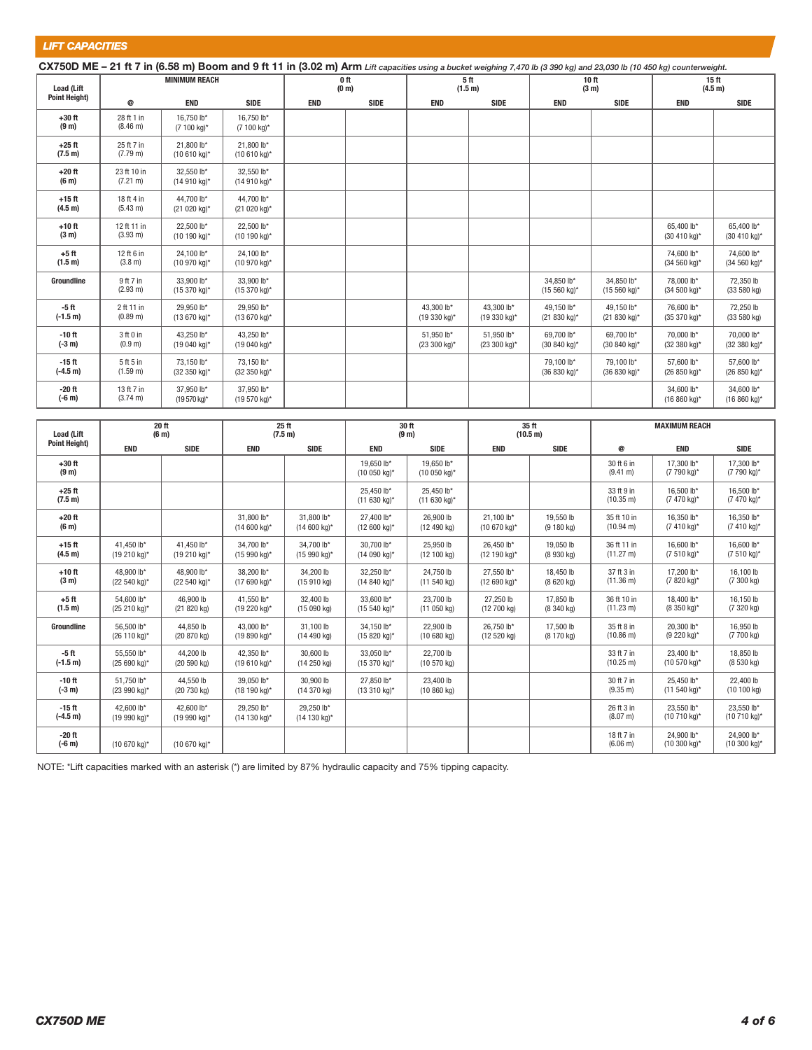*LIFT CAPACITIES*

| CX750D ME - 21 ft 7 in (6.58 m) Boom and 9 ft 11 in (3.02 m) Arm Lift capacities using a bucket weighing 7,470 lb (3 390 kg) and 23,030 lb (10 450 kg) counterweight. |                                   |                            |                            |                           |             |                            |                            |                                       |                               |                             |                            |
|-----------------------------------------------------------------------------------------------------------------------------------------------------------------------|-----------------------------------|----------------------------|----------------------------|---------------------------|-------------|----------------------------|----------------------------|---------------------------------------|-------------------------------|-----------------------------|----------------------------|
| <b>Load (Lift</b>                                                                                                                                                     | <b>MINIMUM REACH</b>              |                            |                            | 0 ft<br>(0 <sub>m</sub> ) |             | 5 ft<br>(1.5 m)            |                            | 10 <sub>ft</sub><br>(3 <sub>m</sub> ) |                               | 15 <sub>ft</sub><br>(4.5 m) |                            |
| <b>Point Height)</b>                                                                                                                                                  | @                                 | <b>END</b>                 | <b>SIDE</b>                | <b>END</b>                | <b>SIDE</b> | <b>END</b>                 | <b>SIDE</b>                | <b>END</b>                            | <b>SIDE</b>                   | <b>END</b>                  | <b>SIDE</b>                |
| $+30$ ft<br>(9 <sub>m</sub> )                                                                                                                                         | 28 ft 1 in<br>(8.46 m)            | 16.750 lb*<br>(7 100 kg)*  | 16.750 lb*<br>(7 100 kg)*  |                           |             |                            |                            |                                       |                               |                             |                            |
| $+25$ ft<br>(7.5 m)                                                                                                                                                   | 25 ft 7 in<br>(7.79 m)            | 21.800 lb*<br>(10 610 kg)* | 21.800 lb*<br>(10 610 kg)* |                           |             |                            |                            |                                       |                               |                             |                            |
| $+20$ ft<br>(6 <sub>m</sub> )                                                                                                                                         | 23 ft 10 in<br>$(7.21 \text{ m})$ | 32.550 lb*<br>(14 910 kg)* | 32.550 lb*<br>(14 910 kg)* |                           |             |                            |                            |                                       |                               |                             |                            |
| $+15$ ft<br>(4.5 m)                                                                                                                                                   | 18 ft 4 in<br>$(5.43 \text{ m})$  | 44.700 lb*<br>(21 020 kg)* | 44.700 lb*<br>(21 020 kg)* |                           |             |                            |                            |                                       |                               |                             |                            |
| $+10$ ft<br>(3 <sub>m</sub> )                                                                                                                                         | 12 ft 11 in<br>$(3.93 \text{ m})$ | 22.500 lb*<br>(10 190 kg)* | 22,500 lb*<br>(10 190 kg)* |                           |             |                            |                            |                                       |                               | 65.400 lb*<br>(30 410 kg)*  | 65.400 lb*<br>(30 410 kg)* |
| $+5$ ft<br>(1.5 m)                                                                                                                                                    | 12 ft 6 in<br>(3.8 m)             | 24.100 lb*<br>(10 970 kg)* | 24.100 lb*<br>(10 970 kg)* |                           |             |                            |                            |                                       |                               | 74,600 lb*<br>(34 560 kg)*  | 74.600 lb*<br>(34 560 kg)* |
| Groundline                                                                                                                                                            | 9 ft 7 in<br>$(2.93 \text{ m})$   | 33.900 lb*<br>(15 370 kg)* | 33.900 lb*<br>(15 370 kg)* |                           |             |                            |                            | 34,850 lb*<br>$(15 560 kg)^*$         | 34,850 lb*<br>$(15 560 kg)^*$ | 78,000 lb*<br>(34 500 kg)*  | 72.350 lb<br>(33 580 kg)   |
| $-5$ ft<br>$(-1.5 m)$                                                                                                                                                 | 2 ft 11 in<br>$(0.89 \text{ m})$  | 29.950 lb*<br>(13 670 kg)* | 29.950 lb*<br>(13 670 kg)* |                           |             | 43.300 lb*<br>(19 330 kg)* | 43.300 lb*<br>(19 330 kg)* | 49,150 lb*<br>(21 830 kg)*            | 49.150 lb*<br>(21 830 kg)*    | 76,600 lb*<br>(35 370 kg)*  | 72.250 lb<br>(33 580 kg)   |
| $-10$ ft<br>$(-3 m)$                                                                                                                                                  | 3 ft 0 in<br>(0.9 m)              | 43.250 lb*<br>(19 040 kg)* | 43.250 lb*<br>(19 040 kg)* |                           |             | 51.950 lb*<br>(23 300 kg)* | 51,950 lb*<br>(23 300 kg)* | 69.700 lb*<br>(30 840 kg)*            | 69.700 lb*<br>(30 840 kg)*    | 70,000 lb*<br>(32 380 kg)*  | 70,000 lb*<br>(32 380 kg)* |
| $-15$ ft<br>$(-4.5 m)$                                                                                                                                                | 5 ft 5 in<br>(1.59 m)             | 73,150 lb*<br>(32 350 kg)* | 73,150 lb*<br>(32 350 kg)* |                           |             |                            |                            | 79,100 lb*<br>(36 830 kg)*            | 79,100 lb*<br>(36 830 kg)*    | 57,600 lb*<br>(26 850 kg)*  | 57,600 lb*<br>(26 850 kg)* |
| $-20$ ft<br>$(-6m)$                                                                                                                                                   | 13 ft 7 in<br>$(3.74 \text{ m})$  | 37,950 lb*<br>(19 570 kg)* | 37,950 lb*<br>(19 570 kg)* |                           |             |                            |                            |                                       |                               | 34,600 lb*<br>(16 860 kg)*  | 34,600 lb*<br>(16 860 kg)* |

| <b>Load (Lift</b><br><b>Point Height)</b> | 20 ft<br>(6 <sub>m</sub> ) |                             | 25 ft<br>(7.5 m)                     |                                     | 30 ft<br>(9 <sub>m</sub> )           |                            | 35 ft<br>(10.5 m)          |                         | <b>MAXIMUM REACH</b>               |                                      |                                  |
|-------------------------------------------|----------------------------|-----------------------------|--------------------------------------|-------------------------------------|--------------------------------------|----------------------------|----------------------------|-------------------------|------------------------------------|--------------------------------------|----------------------------------|
|                                           | <b>END</b>                 | <b>SIDE</b>                 | <b>END</b>                           | <b>SIDE</b>                         | <b>END</b>                           | <b>SIDE</b>                | <b>END</b>                 | <b>SIDE</b>             | @                                  | <b>END</b>                           | <b>SIDE</b>                      |
| $+30$ ft<br>(9 <sub>m</sub> )             |                            |                             |                                      |                                     | 19.650 lb*<br>(10 050 kg)*           | 19.650 lb*<br>(10 050 kg)* |                            |                         | 30 ft 6 in<br>(9.41 m)             | 17.300 lb*<br>(7 790 kg)*            | 17.300 lb*<br>(7 790 kg)*        |
| $+25$ ft<br>(7.5 m)                       |                            |                             |                                      |                                     | 25.450 lb*<br>(11 630 kg)*           | 25.450 lb*<br>(11 630 kg)* |                            |                         | 33 ft 9 in<br>$(10.35 \text{ m})$  | 16.500 lb*<br>(7 470 kg)*            | 16.500 lb*<br>(7 470 kg)*        |
| $+20$ ft<br>(6 <sub>m</sub> )             |                            |                             | 31.800 lb*<br>$(14600 \text{ kg})*$  | 31.800 lb*<br>$(14600 \text{ kg})*$ | 27,400 lb*<br>(12 600 kg)*           | 26,900 lb<br>(12 490 kg)   | 21.100 lb*<br>(10 670 kg)* | 19,550 lb<br>(9180 kg)  | 35 ft 10 in<br>$(10.94 \text{ m})$ | 16.350 lb*<br>(7 410 kg)*            | 16.350 lb*<br>(7 410 kg)*        |
| $+15$ ft<br>(4.5 m)                       | 41.450 lb*<br>(19 210 kg)* | 41,450 lb*<br>(19 210 kg)*  | 34.700 lb*<br>(15 990 kg)*           | 34.700 lb*<br>(15 990 kg)*          | 30.700 lb*<br>(14 090 kg)*           | 25,950 lb<br>(12100 kg)    | 26.450 lb*<br>(12 190 kg)* | 19,050 lb<br>(8930 kg)  | 36 ft 11 in<br>$(11.27 \text{ m})$ | 16,600 lb*<br>(7 510 kg)*            | 16,600 lb*<br>(7 510 kg)*        |
| $+10$ ft<br>(3 <sub>m</sub> )             | 48,900 lb*<br>(22 540 kg)* | 48,900 lb*<br>(22 540 kg)*  | 38,200 lb*<br>(17 690 kg)*           | 34,200 lb<br>$(15910 \text{ kg})$   | 32,250 lb*<br>$(14840 \text{ kg})^*$ | 24,750 lb<br>(11 540 kg)   | 27,550 lb*<br>(12 690 kg)* | 18,450 lb<br>(8620 kg)  | 37 ft 3 in<br>$(11.36 \text{ m})$  | 17,200 lb*<br>(7 820 kg)*            | 16,100 lb<br>(7300 kg)           |
| $+5$ ft<br>(1.5 m)                        | 54.600 lb*<br>(25 210 kg)* | 46.900 lb<br>(21 820 kg)    | 41.550 lb*<br>(19 220 kg)*           | 32,400 lb<br>(15090 kg)             | 33,600 lb*<br>$(15 540 kg)^*$        | 23.700 lb<br>(11 050 kg)   | 27.250 lb<br>(12700 kg)    | 17,850 lb<br>(8 340 kg) | 36 ft 10 in<br>$(11.23 \text{ m})$ | 18.400 lb*<br>(8 350 kg)*            | 16,150 lb<br>$(7320 \text{ kg})$ |
| Groundline                                | 56.500 lb*<br>(26 110 kg)* | 44.850 lb<br>(20 870 kg)    | 43.000 lb*<br>(19 890 kg)*           | 31.100 lb<br>(14 490 kg)            | 34.150 lb*<br>(15 820 kg)*           | 22,900 lb<br>(10680 kg)    | 26.750 lb*<br>(12520 kg)   | 17,500 lb<br>(8 170 kg) | 35 ft 8 in<br>$(10.86)$ m)         | 20.300 lb*<br>(9 220 kg)*            | 16.950 lb<br>(7 700 kg)          |
| $-5$ ft<br>$(-1.5 m)$                     | 55.550 lb*<br>(25 690 kg)* | 44.200 lb<br>$(20, 590$ kg) | 42.350 lb*<br>(19 610 kg)*           | 30,600 lb<br>(14 250 kg)            | 33.050 lb*<br>(15 370 kg)*           | 22.700 lb<br>(10 570 kg)   |                            |                         | 33 ft 7 in<br>$(10.25 \text{ m})$  | 23.400 lb*<br>$(10 570 kg)^*$        | 18.850 lb<br>$(8530 \text{ kg})$ |
| $-10$ ft<br>$(-3 m)$                      | 51.750 lb*<br>(23 990 kg)* | 44.550 lb<br>(20 730 kg)    | 39.050 lb*<br>(18 190 kg)*           | 30,900 lb<br>(14 370 kg)            | 27.850 lb*<br>(13 310 kg)*           | 23,400 lb<br>(10 860 kg)   |                            |                         | 30 ft 7 in<br>$(9.35 \text{ m})$   | 25.450 lb*<br>$(11 540 kg)^*$        | 22,400 lb<br>(10100 kg)          |
| $-15$ ft<br>$(-4.5 m)$                    | 42.600 lb*<br>(19 990 kg)* | 42.600 lb*<br>(19 990 kg)*  | 29.250 lb*<br>$(14130 \text{ kg})^*$ | 29.250 lb*<br>(14 130 kg)*          |                                      |                            |                            |                         | 26 ft 3 in<br>(8.07 m)             | 23.550 lb*<br>(10 710 kg)*           | 23.550 lb*<br>(10 710 kg)*       |
| $-20$ ft<br>$(-6m)$                       | (10 670 kg)*               | (10 670 kg)*                |                                      |                                     |                                      |                            |                            |                         | 18 ft 7 in<br>(6.06 m)             | 24.900 lb*<br>$(10300 \text{ kg})^*$ | 24,900 lb*<br>(10 300 kg)*       |

NOTE: \*Lift capacities marked with an asterisk (\*) are limited by 87% hydraulic capacity and 75% tipping capacity.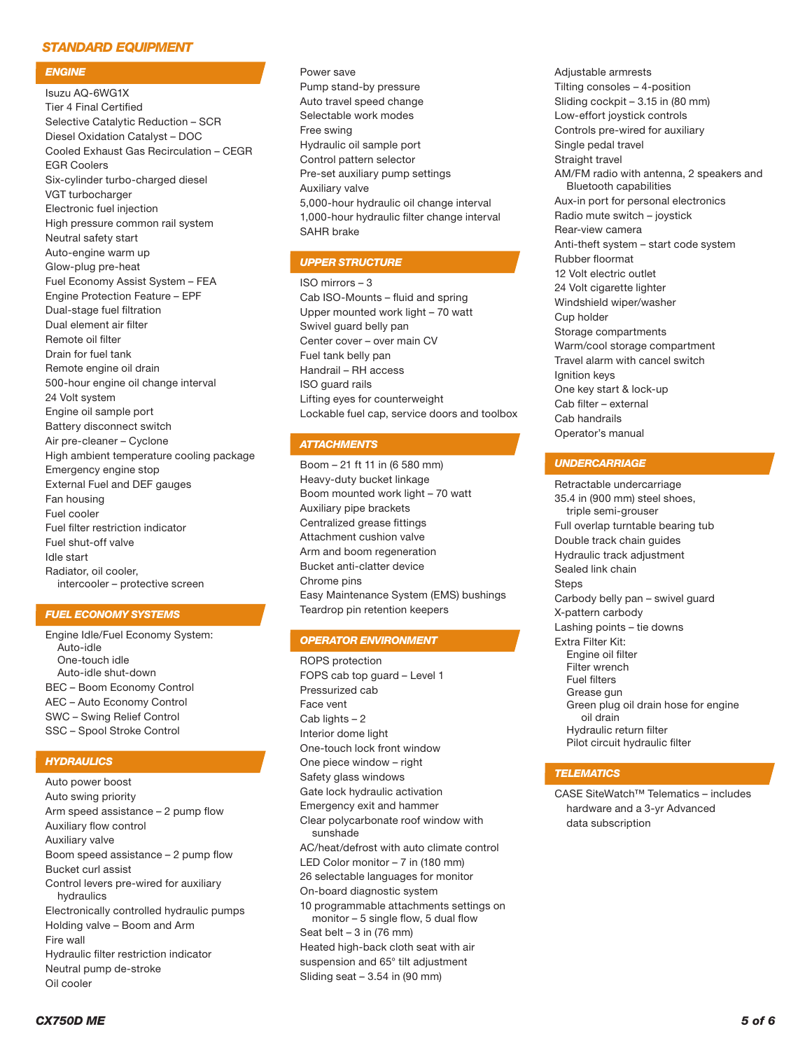# *STANDARD EQUIPMENT*

#### *ENGINE*

Isuzu AQ-6WG1X Tier 4 Final Certified Selective Catalytic Reduction – SCR Diesel Oxidation Catalyst – DOC Cooled Exhaust Gas Recirculation – CEGR EGR Coolers Six-cylinder turbo-charged diesel VGT turbocharger Electronic fuel injection High pressure common rail system Neutral safety start Auto-engine warm up Glow-plug pre-heat Fuel Economy Assist System – FEA Engine Protection Feature – EPF Dual-stage fuel filtration Dual element air filter Remote oil filter Drain for fuel tank Remote engine oil drain 500-hour engine oil change interval 24 Volt system Engine oil sample port Battery disconnect switch Air pre-cleaner – Cyclone High ambient temperature cooling package Emergency engine stop External Fuel and DEF gauges Fan housing Fuel cooler Fuel filter restriction indicator Fuel shut-off valve Idle start Radiator, oil cooler, intercooler – protective screen

# *FUEL ECONOMY SYSTEMS*

Engine Idle/Fuel Economy System: Auto-idle One-touch idle Auto-idle shut-down BEC – Boom Economy Control AEC – Auto Economy Control SWC – Swing Relief Control SSC – Spool Stroke Control

# *HYDRAULICS*

Auto power boost Auto swing priority Arm speed assistance – 2 pump flow Auxiliary flow control Auxiliary valve Boom speed assistance – 2 pump flow Bucket curl assist Control levers pre-wired for auxiliary hydraulics Electronically controlled hydraulic pumps Holding valve – Boom and Arm Fire wall Hydraulic filter restriction indicator Neutral pump de-stroke Oil cooler

Power save Pump stand-by pressure Auto travel speed change Selectable work modes Free swing Hydraulic oil sample port Control pattern selector Pre-set auxiliary pump settings Auxiliary valve 5,000-hour hydraulic oil change interval 1,000-hour hydraulic filter change interval SAHR brake

#### *UPPER STRUCTURE*

ISO mirrors – 3 Cab ISO-Mounts – fluid and spring Upper mounted work light – 70 watt Swivel guard belly pan Center cover – over main CV Fuel tank belly pan Handrail – RH access ISO guard rails Lifting eyes for counterweight Lockable fuel cap, service doors and toolbox

## *ATTACHMENTS*

Boom – 21 ft 11 in (6 580 mm) Heavy-duty bucket linkage Boom mounted work light – 70 watt Auxiliary pipe brackets Centralized grease fittings Attachment cushion valve Arm and boom regeneration Bucket anti-clatter device Chrome pins Easy Maintenance System (EMS) bushings Teardrop pin retention keepers

#### *OPERATOR ENVIRONMENT*

ROPS protection FOPS cab top guard – Level 1 Pressurized cab Face vent Cab lights – 2 Interior dome light One-touch lock front window One piece window – right Safety glass windows Gate lock hydraulic activation Emergency exit and hammer Clear polycarbonate roof window with sunshade AC/heat/defrost with auto climate control LED Color monitor – 7 in (180 mm) 26 selectable languages for monitor On-board diagnostic system 10 programmable attachments settings on monitor – 5 single flow, 5 dual flow Seat belt  $-3$  in (76 mm) Heated high-back cloth seat with air suspension and 65° tilt adjustment Sliding seat – 3.54 in (90 mm)

Adjustable armrests Tilting consoles – 4-position Sliding cockpit – 3.15 in (80 mm) Low-effort joystick controls Controls pre-wired for auxiliary Single pedal travel Straight travel AM/FM radio with antenna, 2 speakers and Bluetooth capabilities Aux-in port for personal electronics Radio mute switch – joystick Rear-view camera Anti-theft system – start code system Rubber floormat 12 Volt electric outlet 24 Volt cigarette lighter Windshield wiper/washer Cup holder Storage compartments Warm/cool storage compartment Travel alarm with cancel switch Ignition keys One key start & lock-up Cab filter – external Cab handrails Operator's manual

#### *UNDERCARRIAGE*

Retractable undercarriage 35.4 in (900 mm) steel shoes, triple semi-grouser Full overlap turntable bearing tub Double track chain guides Hydraulic track adjustment Sealed link chain Steps Carbody belly pan – swivel guard X-pattern carbody Lashing points – tie downs Extra Filter Kit: Engine oil filter Filter wrench Fuel filters Grease gun Green plug oil drain hose for engine oil drain Hydraulic return filter Pilot circuit hydraulic filter

## *TELEMATICS*

CASE SiteWatch™ Telematics – includes hardware and a 3-yr Advanced data subscription